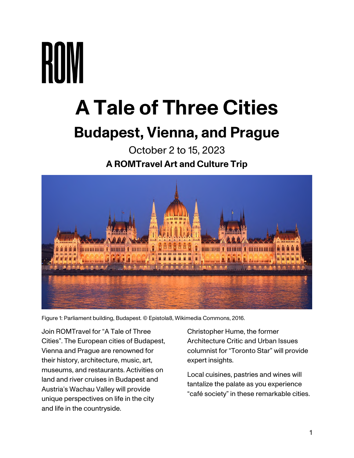# **A Tale of Three Cities Budapest, Vienna, and Prague**

# October 2 to 15, 2023 **A ROMTravel Art and Culture Trip**



Figure 1: Parliament building, Budapest. © Epistola8, Wikimedia Commons, 2016.

Join ROMTravel for "A Tale of Three Cities". The European cities of Budapest, Vienna and Prague are renowned for their history, architecture, music, art, museums, and restaurants. Activities on land and river cruises in Budapest and Austria's Wachau Valley will provide unique perspectives on life in the city and life in the countryside.

Christopher Hume, the former Architecture Critic and Urban Issues columnist for "Toronto Star" will provide expert insights.

Local cuisines, pastries and wines will tantalize the palate as you experience "café society" in these remarkable cities.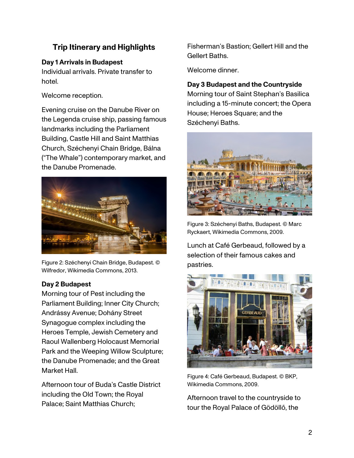# **Trip Itinerary and Highlights**

# **Day 1 Arrivals in Budapest**

Individual arrivals. Private transfer to hotel.

Welcome reception.

Evening cruise on the Danube River on the Legenda cruise ship, passing famous landmarks including the Parliament Building, Castle Hill and Saint Matthias Church, Széchenyi Chain Bridge, Bálna ("The Whale") contemporary market, and the Danube Promenade.



Figure 2: Széchenyi Chain Bridge, Budapest. © Wilfredor, Wikimedia Commons, 2013.

# **Day 2 Budapest**

Morning tour of Pest including the Parliament Building; Inner City Church; Andrássy Avenue; Dohány Street Synagogue complex including the Heroes Temple, Jewish Cemetery and Raoul Wallenberg Holocaust Memorial Park and the Weeping Willow Sculpture; the Danube Promenade; and the Great Market Hall.

Afternoon tour of Buda's Castle District including the Old Town; the Royal Palace; Saint Matthias Church;

Fisherman's Bastion; Gellert Hill and the Gellert Baths.

Welcome dinner.

**Day 3 Budapest and the Countryside**  Morning tour of Saint Stephan's Basilica including a 15-minute concert; the Opera House; Heroes Square; and the Széchenyi Baths.



Figure 3: Széchenyi Baths, Budapest. © Marc Ryckaert, Wikimedia Commons, 2009.

Lunch at Café Gerbeaud, followed by a selection of their famous cakes and pastries.



Figure 4: Café Gerbeaud, Budapest. © BKP, Wikimedia Commons, 2009.

Afternoon travel to the countryside to tour the Royal Palace of Gödöllő, the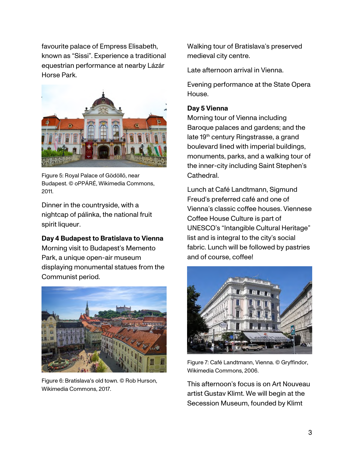favourite palace of Empress Elisabeth, known as "Sissi". Experience a traditional equestrian performance at nearby Lázár Horse Park.



Figure 5: Royal Palace of Gödöllő, near Budapest. © oPPÁRÉ, Wikimedia Commons, 2011.

Dinner in the countryside, with a nightcap of pálinka, the national fruit spirit liqueur.

#### **Day 4 Budapest to Bratislava to Vienna**

Morning visit to Budapest's Memento Park, a unique open-air museum displaying monumental statues from the Communist period.



Figure 6: Bratislava's old town. © Rob Hurson, Wikimedia Commons, 2017.

Walking tour of Bratislava's preserved medieval city centre.

Late afternoon arrival in Vienna.

Evening performance at the State Opera House.

#### **Day 5 Vienna**

Morning tour of Vienna including Baroque palaces and gardens; and the late 19<sup>th</sup> century Ringstrasse, a grand boulevard lined with imperial buildings, monuments, parks, and a walking tour of the inner-city including Saint Stephen's Cathedral.

Lunch at Café Landtmann, Sigmund Freud's preferred café and one of Vienna's classic coffee houses. Viennese Coffee House Culture is part of UNESCO's "Intangible Cultural Heritage" list and is integral to the city's social fabric. Lunch will be followed by pastries and of course, coffee!



Figure 7: Café Landtmann, Vienna. © Gryffindor, Wikimedia Commons, 2006.

This afternoon's focus is on Art Nouveau artist Gustav Klimt. We will begin at the Secession Museum, founded by Klimt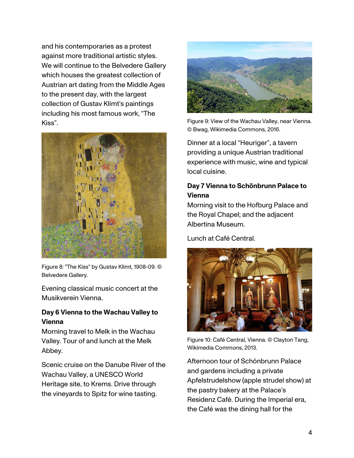and his contemporaries as a protest against more traditional artistic styles. We will continue to the Belvedere Gallery which houses the greatest collection of Austrian art dating from the Middle Ages to the present day, with the largest collection of Gustav Klimt's paintings including his most famous work, "The Kiss".



Figure 8: "The Kiss" by Gustav Klimt, 1908-09. © Belvedere Gallery.

Evening classical music concert at the Musikverein Vienna.

#### **Day 6 Vienna to the Wachau Valley to Vienna**

Morning travel to Melk in the Wachau Valley. Tour of and lunch at the Melk Abbey.

Scenic cruise on the Danube River of the Wachau Valley, a UNESCO World Heritage site, to Krems. Drive through the vineyards to Spitz for wine tasting.



Figure 9: View of the Wachau Valley, near Vienna. © Bwag, Wikimedia Commons, 2016.

Dinner at a local "Heuriger", a tavern providing a unique Austrian traditional experience with music, wine and typical local cuisine.

#### **Day 7 Vienna to Schönbrunn Palace to Vienna**

Morning visit to the Hofburg Palace and the Royal Chapel; and the adjacent Albertina Museum.

Lunch at Café Central.



Figure 10: Café Central, Vienna. © Clayton Tang, Wikimedia Commons, 2013.

Afternoon tour of Schönbrunn Palace and gardens including a private Apfelstrudelshow (apple strudel show) at the pastry bakery at the Palace's Residenz Café. During the Imperial era, the Café was the dining hall for the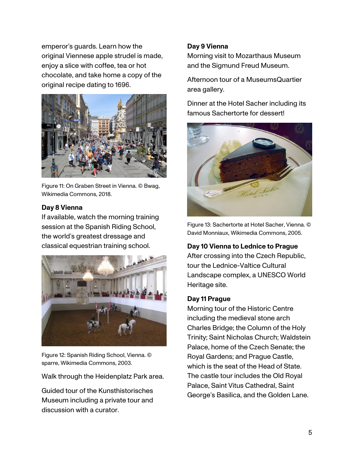emperor's guards. Learn how the original Viennese apple strudel is made, enjoy a slice with coffee, tea or hot chocolate, and take home a copy of the original recipe dating to 1696.



Figure 11: On Graben Street in Vienna. © Bwag, Wikimedia Commons, 2018.

#### **Day 8 Vienna**

If available, watch the morning training session at the Spanish Riding School, the world's greatest dressage and classical equestrian training school.



Figure 12: Spanish Riding School, Vienna. © sparre, Wikimedia Commons, 2003.

Walk through the Heidenplatz Park area.

Guided tour of the Kunsthistorisches Museum including a private tour and discussion with a curator.

# **Day 9 Vienna**

Morning visit to Mozarthaus Museum and the Sigmund Freud Museum.

Afternoon tour of a MuseumsQuartier area gallery.

Dinner at the Hotel Sacher including its famous Sachertorte for dessert!



Figure 13: Sachertorte at Hotel Sacher, Vienna. © David Monniaux, Wikimedia Commons, 2005.

#### **Day 10 Vienna to Lednice to Prague**

After crossing into the Czech Republic, tour the Lednice-Valtice Cultural Landscape complex, a UNESCO World Heritage site.

#### **Day 11 Prague**

Morning tour of the Historic Centre including the medieval stone arch Charles Bridge; the Column of the Holy Trinity; Saint Nicholas Church; Waldstein Palace, home of the Czech Senate; the Royal Gardens; and Prague Castle, which is the seat of the Head of State. The castle tour includes the Old Royal Palace, Saint Vitus Cathedral, Saint George's Basilica, and the Golden Lane.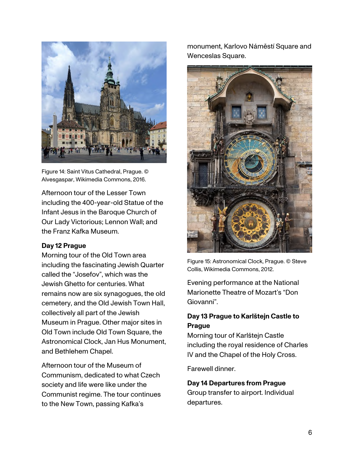

Figure 14: Saint Vitus Cathedral, Prague. © Alvesgaspar, Wikimedia Commons, 2016.

Afternoon tour of the Lesser Town including the 400-year-old Statue of the Infant Jesus in the Baroque Church of Our Lady Victorious; Lennon Wall; and the Franz Kafka Museum.

#### **Day 12 Prague**

Morning tour of the Old Town area including the fascinating Jewish Quarter called the "Josefov", which was the Jewish Ghetto for centuries. What remains now are six synagogues, the old cemetery, and the Old Jewish Town Hall, collectively all part of the Jewish Museum in Prague. Other major sites in Old Town include Old Town Square, the Astronomical Clock, Jan Hus Monument, and Bethlehem Chapel.

Afternoon tour of the Museum of Communism, dedicated to what Czech society and life were like under the Communist regime. The tour continues to the New Town, passing Kafka's

monument, Karlovo Náměstí Square and Wenceslas Square.



Figure 15: Astronomical Clock, Prague. © Steve Collis, Wikimedia Commons, 2012.

Evening performance at the National Marionette Theatre of Mozart's "Don Giovanni".

#### **Day 13 Prague to Karlötejn Castle to Prague**

Morning tour of Karlötejn Castle including the royal residence of Charles IV and the Chapel of the Holy Cross.

Farewell dinner.

#### **Day 14 Departures from Prague**  Group transfer to airport. Individual departures.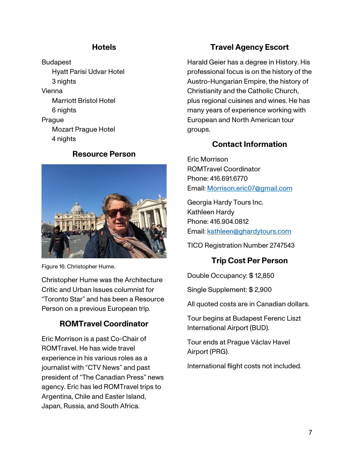# **Hotels**

Budapest Hyatt Parisi Udvar Hotel 3 nights Vienna Marriott Bristol Hotel 6 nights Prague Mozart Prague Hotel 4 nights

#### **Resource Person**



Figure 16: Christopher Hume.

Christopher Hume was the Architecture Critic and Urban Issues columnist for "Toronto Star" and has been a Resource Person on a previous European trip.

# **ROMTravel Coordinator**

Eric Morrison is a past Co-Chair of ROMTravel. He has wide travel experience in his various roles as a journalist with "CTV News" and past president of "The Canadian Press" news agency. Eric has led ROMTravel trips to Argentina, Chile and Easter Island, Japan, Russia, and South Africa.

# **Travel Agency Escort**

Harald Geier has a degree in History. His professional focus is on the history of the Austro-Hungarian Empire, the history of Christianity and the Catholic Church, plus regional cuisines and wines. He has many years of experience working with European and North American tour groups.

# **Contact Information**

Eric Morrison ROMTravel Coordinator Phone: 416.691.6770 Email: Morrison.eric07@gmail.com

Georgia Hardy Tours Inc. Kathleen Hardy Phone: 416.904.0812 Email: kathleen@ghardytours.com

TICO Registration Number 2747543

# **Trip Cost Per Person**

Double Occupancy: \$ 12,850

Single Supplement: \$ 2,900

All quoted costs are in Canadian dollars.

Tour begins at Budapest Ferenc Liszt International Airport (BUD).

Tour ends at Prague Václav Havel Airport (PRG).

International flight costs not included.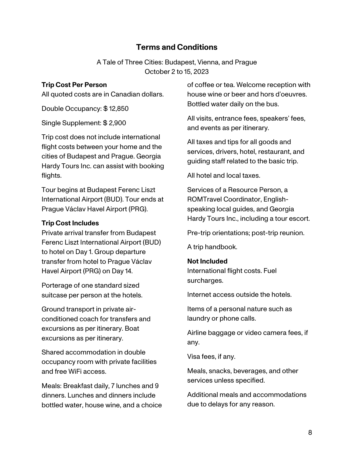# **Terms and Conditions**

A Tale of Three Cities: Budapest, Vienna, and Prague October 2 to 15, 2023

#### **Trip Cost Per Person**

All quoted costs are in Canadian dollars.

Double Occupancy: \$ 12,850

Single Supplement: \$ 2,900

Trip cost does not include international flight costs between your home and the cities of Budapest and Prague. Georgia Hardy Tours Inc. can assist with booking flights.

Tour begins at Budapest Ferenc Liszt International Airport (BUD). Tour ends at Prague Václav Havel Airport (PRG).

#### **Trip Cost Includes**

Private arrival transfer from Budapest Ferenc Liszt International Airport (BUD) to hotel on Day 1. Group departure transfer from hotel to Prague Václav Havel Airport (PRG) on Day 14.

Porterage of one standard sized suitcase per person at the hotels.

Ground transport in private airconditioned coach for transfers and excursions as per itinerary. Boat excursions as per itinerary.

Shared accommodation in double occupancy room with private facilities and free WiFi access.

Meals: Breakfast daily, 7 lunches and 9 dinners. Lunches and dinners include bottled water, house wine, and a choice of coffee or tea. Welcome reception with house wine or beer and hors d'oeuvres. Bottled water daily on the bus.

All visits, entrance fees, speakers' fees, and events as per itinerary.

All taxes and tips for all goods and services, drivers, hotel, restaurant, and guiding staff related to the basic trip.

All hotel and local taxes.

Services of a Resource Person, a ROMTravel Coordinator, Englishspeaking local guides, and Georgia Hardy Tours Inc., including a tour escort.

Pre-trip orientations; post-trip reunion.

A trip handbook.

#### **Not Included**

International flight costs. Fuel surcharges.

Internet access outside the hotels.

Items of a personal nature such as laundry or phone calls.

Airline baggage or video camera fees, if any.

Visa fees, if any.

Meals, snacks, beverages, and other services unless specified.

Additional meals and accommodations due to delays for any reason.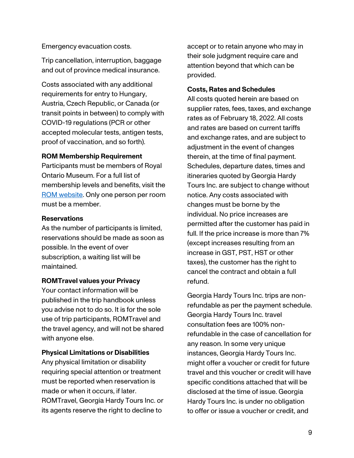Emergency evacuation costs.

Trip cancellation, interruption, baggage and out of province medical insurance.

Costs associated with any additional requirements for entry to Hungary, Austria, Czech Republic, or Canada (or transit points in between) to comply with COVID-19 regulations (PCR or other accepted molecular tests, antigen tests, proof of vaccination, and so forth).

#### **ROM Membership Requirement**

Participants must be members of Royal Ontario Museum. For a full list of membership levels and benefits, visit the ROM website. Only one person per room must be a member.

#### **Reservations**

As the number of participants is limited, reservations should be made as soon as possible. In the event of over subscription, a waiting list will be maintained.

#### **ROMTravel values your Privacy**

Your contact information will be published in the trip handbook unless you advise not to do so. It is for the sole use of trip participants, ROMTravel and the travel agency, and will not be shared with anyone else.

#### **Physical Limitations or Disabilities**

Any physical limitation or disability requiring special attention or treatment must be reported when reservation is made or when it occurs, if later. ROMTravel, Georgia Hardy Tours Inc. or its agents reserve the right to decline to

accept or to retain anyone who may in their sole judgment require care and attention beyond that which can be provided.

#### **Costs, Rates and Schedules**

All costs quoted herein are based on supplier rates, fees, taxes, and exchange rates as of February 18, 2022. All costs and rates are based on current tariffs and exchange rates, and are subject to adjustment in the event of changes therein, at the time of final payment. Schedules, departure dates, times and itineraries quoted by Georgia Hardy Tours Inc. are subject to change without notice. Any costs associated with changes must be borne by the individual. No price increases are permitted after the customer has paid in full. If the price increase is more than 7% (except increases resulting from an increase in GST, PST, HST or other taxes), the customer has the right to cancel the contract and obtain a full refund.

Georgia Hardy Tours Inc. trips are nonrefundable as per the payment schedule. Georgia Hardy Tours Inc. travel consultation fees are 100% nonrefundable in the case of cancellation for any reason. In some very unique instances, Georgia Hardy Tours Inc. might offer a voucher or credit for future travel and this voucher or credit will have specific conditions attached that will be disclosed at the time of issue. Georgia Hardy Tours Inc. is under no obligation to offer or issue a voucher or credit, and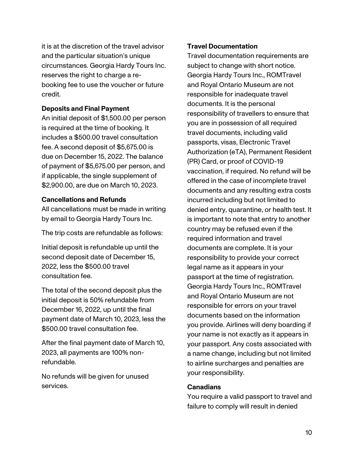it is at the discretion of the travel advisor and the particular situation's unique circumstances. Georgia Hardy Tours Inc. reserves the right to charge a rebooking fee to use the voucher or future credit.

#### **Deposits and Final Payment**

An initial deposit of \$1,500.00 per person is required at the time of booking. It includes a \$500.00 travel consultation fee. A second deposit of \$5,675.00 is due on December 15, 2022. The balance of payment of \$5,675.00 per person, and if applicable, the single supplement of \$2,900.00, are due on March 10, 2023.

#### **Cancellations and Refunds**

All cancellations must be made in writing by email to Georgia Hardy Tours Inc.

The trip costs are refundable as follows:

Initial deposit is refundable up until the second deposit date of December 15, 2022, less the \$500.00 travel consultation fee.

The total of the second deposit plus the initial deposit is 50% refundable from December 16, 2022, up until the final payment date of March 10, 2023, less the \$500.00 travel consultation fee.

After the final payment date of March 10, 2023, all payments are 100% nonrefundable.

No refunds will be given for unused services.

#### **Travel Documentation**

Travel documentation requirements are subject to change with short notice. Georgia Hardy Tours Inc., ROMTravel and Royal Ontario Museum are not responsible for inadequate travel documents. It is the personal responsibility of travellers to ensure that you are in possession of all required travel documents, including valid passports, visas, Electronic Travel Authorization (eTA), Permanent Resident (PR) Card, or proof of COVID-19 vaccination, if required. No refund will be offered in the case of incomplete travel documents and any resulting extra costs incurred including but not limited to denied entry, quarantine, or health test. It is important to note that entry to another country may be refused even if the required information and travel documents are complete. It is your responsibility to provide your correct legal name as it appears in your passport at the time of registration. Georgia Hardy Tours Inc., ROMTravel and Royal Ontario Museum are not responsible for errors on your travel documents based on the information you provide. Airlines will deny boarding if your name is not exactly as it appears in your passport. Any costs associated with a name change, including but not limited to airline surcharges and penalties are your responsibility.

#### **Canadians**

You require a valid passport to travel and failure to comply will result in denied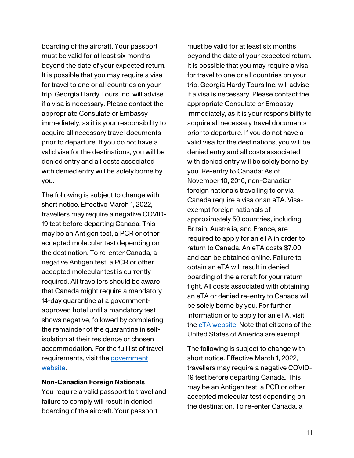boarding of the aircraft. Your passport must be valid for at least six months beyond the date of your expected return. It is possible that you may require a visa for travel to one or all countries on your trip. Georgia Hardy Tours Inc. will advise if a visa is necessary. Please contact the appropriate Consulate or Embassy immediately, as it is your responsibility to acquire all necessary travel documents prior to departure. If you do not have a valid visa for the destinations, you will be denied entry and all costs associated with denied entry will be solely borne by you.

The following is subject to change with short notice. Effective March 1, 2022, travellers may require a negative COVID-19 test before departing Canada. This may be an Antigen test, a PCR or other accepted molecular test depending on the destination. To re-enter Canada, a negative Antigen test, a PCR or other accepted molecular test is currently required. All travellers should be aware that Canada might require a mandatory 14-day quarantine at a governmentapproved hotel until a mandatory test shows negative, followed by completing the remainder of the quarantine in selfisolation at their residence or chosen accommodation. For the full list of travel requirements, visit the government website.

#### **Non-Canadian Foreign Nationals**

You require a valid passport to travel and failure to comply will result in denied boarding of the aircraft. Your passport

must be valid for at least six months beyond the date of your expected return. It is possible that you may require a visa for travel to one or all countries on your trip. Georgia Hardy Tours Inc. will advise if a visa is necessary. Please contact the appropriate Consulate or Embassy immediately, as it is your responsibility to acquire all necessary travel documents prior to departure. If you do not have a valid visa for the destinations, you will be denied entry and all costs associated with denied entry will be solely borne by you. Re-entry to Canada: As of November 10, 2016, non-Canadian foreign nationals travelling to or via Canada require a visa or an eTA. Visaexempt foreign nationals of approximately 50 countries, including Britain, Australia, and France, are required to apply for an eTA in order to return to Canada. An eTA costs \$7.00 and can be obtained online. Failure to obtain an eTA will result in denied boarding of the aircraft for your return fight. All costs associated with obtaining an eTA or denied re-entry to Canada will be solely borne by you. For further information or to apply for an eTA, visit the eTA website. Note that citizens of the United States of America are exempt.

The following is subject to change with short notice. Effective March 1, 2022, travellers may require a negative COVID-19 test before departing Canada. This may be an Antigen test, a PCR or other accepted molecular test depending on the destination. To re-enter Canada, a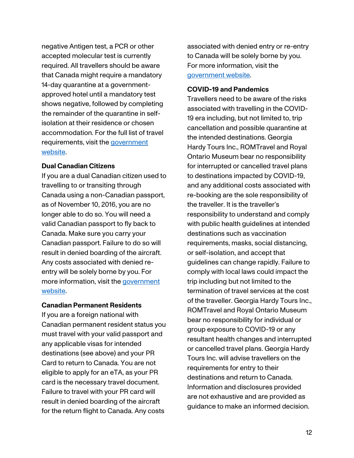negative Antigen test, a PCR or other accepted molecular test is currently required. All travellers should be aware that Canada might require a mandatory 14-day quarantine at a governmentapproved hotel until a mandatory test shows negative, followed by completing the remainder of the quarantine in selfisolation at their residence or chosen accommodation. For the full list of travel requirements, visit the government website.

#### **Dual Canadian Citizens**

If you are a dual Canadian citizen used to travelling to or transiting through Canada using a non-Canadian passport, as of November 10, 2016, you are no longer able to do so. You will need a valid Canadian passport to fly back to Canada. Make sure you carry your Canadian passport. Failure to do so will result in denied boarding of the aircraft. Any costs associated with denied reentry will be solely borne by you. For more information, visit the government website.

#### **Canadian Permanent Residents**

If you are a foreign national with Canadian permanent resident status you must travel with your valid passport and any applicable visas for intended destinations (see above) and your PR Card to return to Canada. You are not eligible to apply for an eTA, as your PR card is the necessary travel document. Failure to travel with your PR card will result in denied boarding of the aircraft for the return flight to Canada. Any costs

associated with denied entry or re-entry to Canada will be solely borne by you. For more information, visit the government website.

#### **COVID-19 and Pandemics**

Travellers need to be aware of the risks associated with travelling in the COVID-19 era including, but not limited to, trip cancellation and possible quarantine at the intended destinations. Georgia Hardy Tours Inc., ROMTravel and Royal Ontario Museum bear no responsibility for interrupted or cancelled travel plans to destinations impacted by COVID-19, and any additional costs associated with re-booking are the sole responsibility of the traveller. It is the traveller's responsibility to understand and comply with public health guidelines at intended destinations such as vaccination requirements, masks, social distancing, or self-isolation, and accept that guidelines can change rapidly. Failure to comply with local laws could impact the trip including but not limited to the termination of travel services at the cost of the traveller. Georgia Hardy Tours Inc., ROMTravel and Royal Ontario Museum bear no responsibility for individual or group exposure to COVID-19 or any resultant health changes and interrupted or cancelled travel plans. Georgia Hardy Tours Inc. will advise travellers on the requirements for entry to their destinations and return to Canada. Information and disclosures provided are not exhaustive and are provided as guidance to make an informed decision.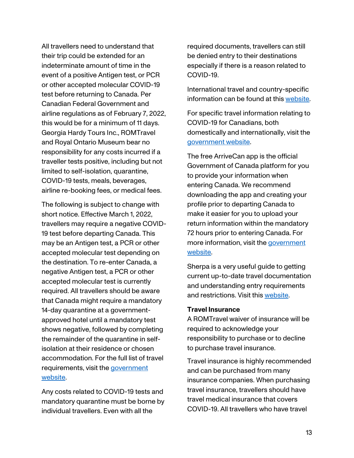All travellers need to understand that their trip could be extended for an indeterminate amount of time in the event of a positive Antigen test, or PCR or other accepted molecular COVID-19 test before returning to Canada. Per Canadian Federal Government and airline regulations as of February 7, 2022, this would be for a minimum of 11 days. Georgia Hardy Tours Inc., ROMTravel and Royal Ontario Museum bear no responsibility for any costs incurred if a traveller tests positive, including but not limited to self-isolation, quarantine, COVID-19 tests, meals, beverages, airline re-booking fees, or medical fees.

The following is subject to change with short notice. Effective March 1, 2022, travellers may require a negative COVID-19 test before departing Canada. This may be an Antigen test, a PCR or other accepted molecular test depending on the destination. To re-enter Canada, a negative Antigen test, a PCR or other accepted molecular test is currently required. All travellers should be aware that Canada might require a mandatory 14-day quarantine at a governmentapproved hotel until a mandatory test shows negative, followed by completing the remainder of the quarantine in selfisolation at their residence or chosen accommodation. For the full list of travel requirements, visit the *government* website.

Any costs related to COVID-19 tests and mandatory quarantine must be borne by individual travellers. Even with all the

required documents, travellers can still be denied entry to their destinations especially if there is a reason related to COVID-19.

International travel and country-specific information can be found at this website.

For specific travel information relating to COVID-19 for Canadians, both domestically and internationally, visit the government website.

The free ArriveCan app is the official Government of Canada platform for you to provide your information when entering Canada. We recommend downloading the app and creating your profile prior to departing Canada to make it easier for you to upload your return information within the mandatory 72 hours prior to entering Canada. For more information, visit the government website.

Sherpa is a very useful guide to getting current up-to-date travel documentation and understanding entry requirements and restrictions. Visit this website.

#### **Travel Insurance**

A ROMTravel waiver of insurance will be required to acknowledge your responsibility to purchase or to decline to purchase travel insurance.

Travel insurance is highly recommended and can be purchased from many insurance companies. When purchasing travel insurance, travellers should have travel medical insurance that covers COVID-19. All travellers who have travel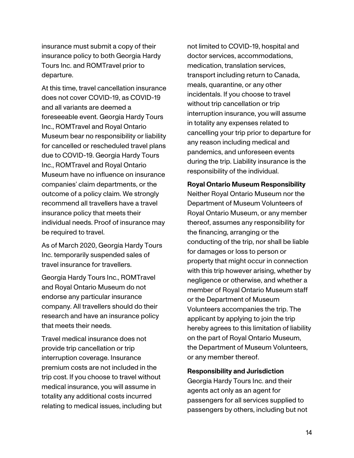insurance must submit a copy of their insurance policy to both Georgia Hardy Tours Inc. and ROMTravel prior to departure.

At this time, travel cancellation insurance does not cover COVID-19, as COVID-19 and all variants are deemed a foreseeable event. Georgia Hardy Tours Inc., ROMTravel and Royal Ontario Museum bear no responsibility or liability for cancelled or rescheduled travel plans due to COVID-19. Georgia Hardy Tours Inc., ROMTravel and Royal Ontario Museum have no influence on insurance companies' claim departments, or the outcome of a policy claim. We strongly recommend all travellers have a travel insurance policy that meets their individual needs. Proof of insurance may be required to travel.

As of March 2020, Georgia Hardy Tours Inc. temporarily suspended sales of travel insurance for travellers.

Georgia Hardy Tours Inc., ROMTravel and Royal Ontario Museum do not endorse any particular insurance company. All travellers should do their research and have an insurance policy that meets their needs.

Travel medical insurance does not provide trip cancellation or trip interruption coverage. Insurance premium costs are not included in the trip cost. If you choose to travel without medical insurance, you will assume in totality any additional costs incurred relating to medical issues, including but not limited to COVID-19, hospital and doctor services, accommodations, medication, translation services, transport including return to Canada, meals, quarantine, or any other incidentals. If you choose to travel without trip cancellation or trip interruption insurance, you will assume in totality any expenses related to cancelling your trip prior to departure for any reason including medical and pandemics, and unforeseen events during the trip. Liability insurance is the responsibility of the individual.

#### **Royal Ontario Museum Responsibility**  Neither Royal Ontario Museum nor the

Department of Museum Volunteers of Royal Ontario Museum, or any member thereof, assumes any responsibility for the financing, arranging or the conducting of the trip, nor shall be liable for damages or loss to person or property that might occur in connection with this trip however arising, whether by negligence or otherwise, and whether a member of Royal Ontario Museum staff or the Department of Museum Volunteers accompanies the trip. The applicant by applying to join the trip hereby agrees to this limitation of liability on the part of Royal Ontario Museum, the Department of Museum Volunteers, or any member thereof.

#### **Responsibility and Jurisdiction**

Georgia Hardy Tours Inc. and their agents act only as an agent for passengers for all services supplied to passengers by others, including but not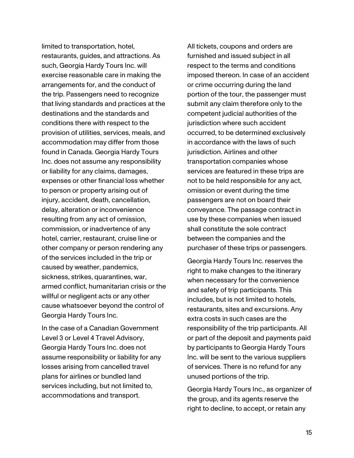limited to transportation, hotel, restaurants, guides, and attractions. As such, Georgia Hardy Tours Inc. will exercise reasonable care in making the arrangements for, and the conduct of the trip. Passengers need to recognize that living standards and practices at the destinations and the standards and conditions there with respect to the provision of utilities, services, meals, and accommodation may differ from those found in Canada. Georgia Hardy Tours Inc. does not assume any responsibility or liability for any claims, damages, expenses or other financial loss whether to person or property arising out of injury, accident, death, cancellation, delay, alteration or inconvenience resulting from any act of omission, commission, or inadvertence of any hotel, carrier, restaurant, cruise line or other company or person rendering any of the services included in the trip or caused by weather, pandemics, sickness, strikes, quarantines, war, armed conflict, humanitarian crisis or the willful or negligent acts or any other cause whatsoever beyond the control of Georgia Hardy Tours Inc.

In the case of a Canadian Government Level 3 or Level 4 Travel Advisory, Georgia Hardy Tours Inc. does not assume responsibility or liability for any losses arising from cancelled travel plans for airlines or bundled land services including, but not limited to, accommodations and transport.

All tickets, coupons and orders are furnished and issued subject in all respect to the terms and conditions imposed thereon. In case of an accident or crime occurring during the land portion of the tour, the passenger must submit any claim therefore only to the competent judicial authorities of the jurisdiction where such accident occurred, to be determined exclusively in accordance with the laws of such jurisdiction. Airlines and other transportation companies whose services are featured in these trips are not to be held responsible for any act, omission or event during the time passengers are not on board their conveyance. The passage contract in use by these companies when issued shall constitute the sole contract between the companies and the purchaser of these trips or passengers.

Georgia Hardy Tours Inc. reserves the right to make changes to the itinerary when necessary for the convenience and safety of trip participants. This includes, but is not limited to hotels, restaurants, sites and excursions. Any extra costs in such cases are the responsibility of the trip participants. All or part of the deposit and payments paid by participants to Georgia Hardy Tours Inc. will be sent to the various suppliers of services. There is no refund for any unused portions of the trip.

Georgia Hardy Tours Inc., as organizer of the group, and its agents reserve the right to decline, to accept, or retain any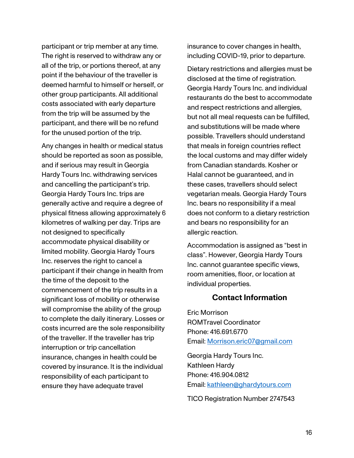participant or trip member at any time. The right is reserved to withdraw any or all of the trip, or portions thereof, at any point if the behaviour of the traveller is deemed harmful to himself or herself, or other group participants. All additional costs associated with early departure from the trip will be assumed by the participant, and there will be no refund for the unused portion of the trip.

Any changes in health or medical status should be reported as soon as possible, and if serious may result in Georgia Hardy Tours Inc. withdrawing services and cancelling the participant's trip. Georgia Hardy Tours Inc. trips are generally active and require a degree of physical fitness allowing approximately 6 kilometres of walking per day. Trips are not designed to specifically accommodate physical disability or limited mobility. Georgia Hardy Tours Inc. reserves the right to cancel a participant if their change in health from the time of the deposit to the commencement of the trip results in a significant loss of mobility or otherwise will compromise the ability of the group to complete the daily itinerary. Losses or costs incurred are the sole responsibility of the traveller. If the traveller has trip interruption or trip cancellation insurance, changes in health could be covered by insurance. It is the individual responsibility of each participant to ensure they have adequate travel

insurance to cover changes in health, including COVID-19, prior to departure.

Dietary restrictions and allergies must be disclosed at the time of registration. Georgia Hardy Tours Inc. and individual restaurants do the best to accommodate and respect restrictions and allergies, but not all meal requests can be fulfilled, and substitutions will be made where possible. Travellers should understand that meals in foreign countries reflect the local customs and may differ widely from Canadian standards. Kosher or Halal cannot be guaranteed, and in these cases, travellers should select vegetarian meals. Georgia Hardy Tours Inc. bears no responsibility if a meal does not conform to a dietary restriction and bears no responsibility for an allergic reaction.

Accommodation is assigned as "best in class". However, Georgia Hardy Tours Inc. cannot guarantee specific views, room amenities, floor, or location at individual properties.

#### **Contact Information**

Eric Morrison ROMTravel Coordinator Phone: 416.691.6770 Email: Morrison.eric07@gmail.com

Georgia Hardy Tours Inc. Kathleen Hardy Phone: 416.904.0812 Email: kathleen@ghardytours.com

TICO Registration Number 2747543